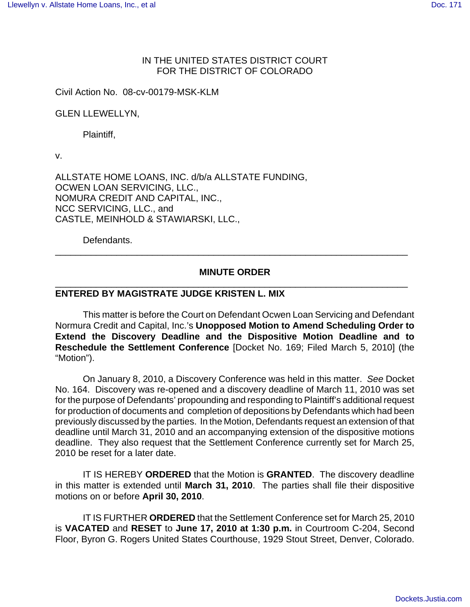#### IN THE UNITED STATES DISTRICT COURT FOR THE DISTRICT OF COLORADO

Civil Action No. 08-cv-00179-MSK-KLM

GLEN LLEWELLYN,

Plaintiff,

v.

ALLSTATE HOME LOANS, INC. d/b/a ALLSTATE FUNDING, OCWEN LOAN SERVICING, LLC., NOMURA CREDIT AND CAPITAL, INC., NCC SERVICING, LLC., and CASTLE, MEINHOLD & STAWIARSKI, LLC.,

Defendants.

### **MINUTE ORDER** \_\_\_\_\_\_\_\_\_\_\_\_\_\_\_\_\_\_\_\_\_\_\_\_\_\_\_\_\_\_\_\_\_\_\_\_\_\_\_\_\_\_\_\_\_\_\_\_\_\_\_\_\_\_\_\_\_\_\_\_\_\_\_\_\_\_\_\_\_

\_\_\_\_\_\_\_\_\_\_\_\_\_\_\_\_\_\_\_\_\_\_\_\_\_\_\_\_\_\_\_\_\_\_\_\_\_\_\_\_\_\_\_\_\_\_\_\_\_\_\_\_\_\_\_\_\_\_\_\_\_\_\_\_\_\_\_\_\_

#### **ENTERED BY MAGISTRATE JUDGE KRISTEN L. MIX**

This matter is before the Court on Defendant Ocwen Loan Servicing and Defendant Normura Credit and Capital, Inc.'s **Unopposed Motion to Amend Scheduling Order to Extend the Discovery Deadline and the Dispositive Motion Deadline and to Reschedule the Settlement Conference** [Docket No. 169; Filed March 5, 2010] (the "Motion").

On January 8, 2010, a Discovery Conference was held in this matter. See Docket No. 164. Discovery was re-opened and a discovery deadline of March 11, 2010 was set for the purpose of Defendants' propounding and responding to Plaintiff's additional request for production of documents and completion of depositions by Defendants which had been previously discussed by the parties. In the Motion, Defendants request an extension of that deadline until March 31, 2010 and an accompanying extension of the dispositive motions deadline. They also request that the Settlement Conference currently set for March 25, 2010 be reset for a later date.

IT IS HEREBY **ORDERED** that the Motion is **GRANTED**. The discovery deadline in this matter is extended until **March 31, 2010**. The parties shall file their dispositive motions on or before **April 30, 2010**.

IT IS FURTHER **ORDERED** that the Settlement Conference set for March 25, 2010 is **VACATED** and **RESET** to **June 17, 2010 at 1:30 p.m.** in Courtroom C-204, Second Floor, Byron G. Rogers United States Courthouse, 1929 Stout Street, Denver, Colorado.